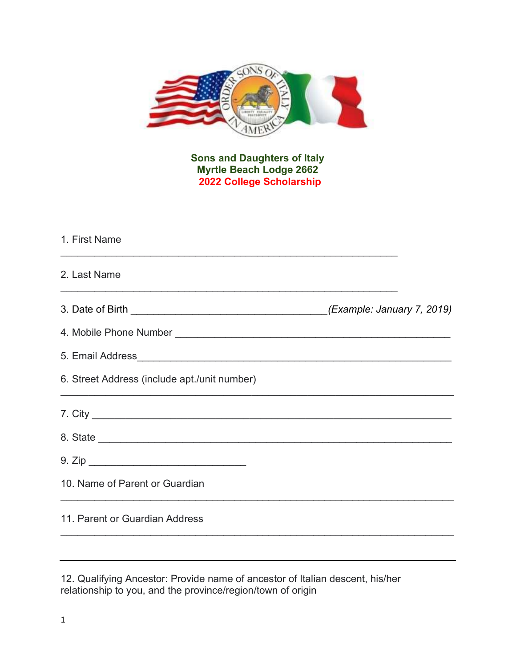

Sons and Daughters of Italy Myrtle Beach Lodge 2662 2022 College Scholarship

| 1. First Name                                |  |
|----------------------------------------------|--|
| 2. Last Name                                 |  |
|                                              |  |
|                                              |  |
|                                              |  |
| 6. Street Address (include apt./unit number) |  |
|                                              |  |
|                                              |  |
|                                              |  |
| 10. Name of Parent or Guardian               |  |
| 11. Parent or Guardian Address               |  |

<sup>12.</sup> Qualifying Ancestor: Provide name of ancestor of Italian descent, his/her relationship to you, and the province/region/town of origin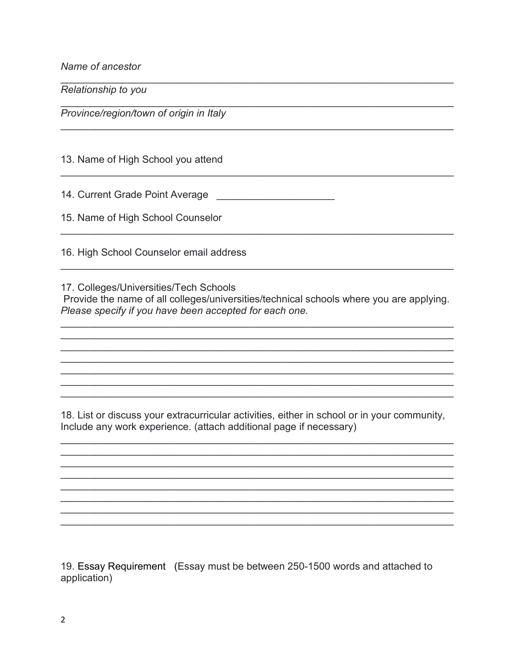Name of ancestor

Relationship to you

Province/region/town of origin in Italy

13. Name of High School you attend

15. Name of High School Counselor

16. High School Counselor email address

17. Colleges/Universities/Tech Schools

Provide the name of all colleges/universities/technical schools where you are applying. Please specify if you have been accepted for each one.

18. List or discuss your extracurricular activities, either in school or in your community, Include any work experience. (attach additional page if necessary)

19. Essay Requirement (Essay must be between 250-1500 words and attached to application)